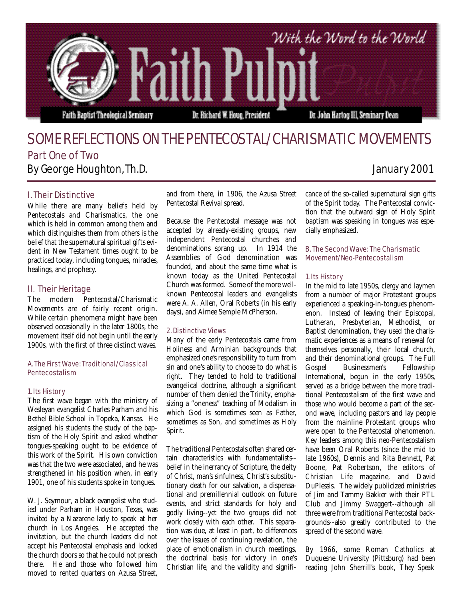

# SOME REFLECTIONS ON THE PENTECOSTAL/CHARISMATIC MOVEMENTS Part One of Two By George Houghton, Th.D. January 2001

# I. Their Distinctive

While there are many beliefs held by Pentecostals and Charismatics, the one which is held in common among them and which distinguishes them from others is the belief that the supernatural spiritual gifts evident in New Testament times ought to be practiced today, including tongues, miracles, healings, and prophecy.

# II. Their Heritage

The modern Pentecostal/Charismatic Movements are of fairly recent origin. While certain phenomena might have been observed occasionally in the later 1800s, the movement itself did not begin until the early 1900s, with the first of three distinct waves.

# A. The First Wave: Traditional/Classical Pentecostalism

#### 1. Its History

The first wave began with the ministry of Wesleyan evangelist Charles Parham and his Bethel Bible School in Topeka, Kansas. He assigned his students the study of the baptism of the Holy Spirit and asked whether tongues-speaking ought to be evidence of this work of the Spirit. His own conviction was that the two were associated, and he was strengthened in his position when, in early 1901, one of his students spoke in tongues.

W. J. Seymour, a black evangelist who studied under Parham in Houston, Texas, was invited by a Nazarene lady to speak at her church in Los Angeles. He accepted the invitation, but the church leaders did not accept his Pentecostal emphasis and locked the church doors so that he could not preach there. He and those who followed him moved to rented quarters on Azusa Street,

and from there, in 1906, the Azusa Street Pentecostal Revival spread.

Because the Pentecostal message was not accepted by already-existing groups, new independent Pentecostal churches and denominations sprang up. In 1914 the Assemblies of God denomination was founded, and about the same time what is known today as the United Pentecostal Church was formed. Some of the more wellknown Pentecostal leaders and evangelists were A. A. Allen, Oral Roberts (in his early days), and Aimee Semple McPherson.

#### 2. Distinctive Views

Many of the early Pentecostals came from Holiness and Arminian backgrounds that emphasized one's responsibility to turn from sin and one's ability to choose to do what is right. They tended to hold to traditional evangelical doctrine, although a significant number of them denied the Trinity, emphasizing a "oneness" teaching of Modalism in which God is sometimes seen as Father, sometimes as Son, and sometimes as Holy Spirit.

The traditional Pentecostals often shared certain characteristics with fundamentalists- belief in the inerrancy of Scripture, the deity of Christ, man's sinfulness, Christ's substitutionary death for our salvation, a dispensational and premillennial outlook on future events, and strict standards for holy and godly living--yet the two groups did not work closely with each other. This separation was due, at least in part, to differences over the issues of continuing revelation, the place of emotionalism in church meetings, the doctrinal basis for victory in one's Christian life, and the validity and significance of the so-called supernatural sign gifts of the Spirit today. The Pentecostal conviction that the outward sign of Holy Spirit baptism was speaking in tongues was especially emphasized.

### B. The Second Wave: The Charismatic Movement/Neo-Pentecostalism

#### 1. Its History

In the mid to late 1950s, clergy and laymen from a number of major Protestant groups experienced a speaking-in-tongues phenomenon. Instead of leaving their Episcopal, Lutheran, Presbyterian, Methodist, or Baptist denomination, they used the charismatic experiences as a means of renewal for themselves personally, their local church, and their denominational groups. The Full Gospel Businessmen's Fellowship International, begun in the early 1950s, served as a bridge between the more traditional Pentecostalism of the first wave and those who would become a part of the second wave, including pastors and lay people from the mainline Protestant groups who were open to the Pentecostal phenomenon. Key leaders among this neo-Pentecostalism have been Oral Roberts (since the mid to late 1960s), Dennis and Rita Bennett, Pat Boone, Pat Robertson, the editors of *Christian Life* magazine, and David DuPlessis. The widely publicized ministries of Jim and Tammy Bakker with their PTL Club and Jimmy Swaggert--although all three were from traditional Pentecostal backgrounds--also greatly contributed to the spread of the second wave.

By 1966, some Roman Catholics at Duquesne University (Pittsburg) had been reading John Sherrill's book, *They Speak*